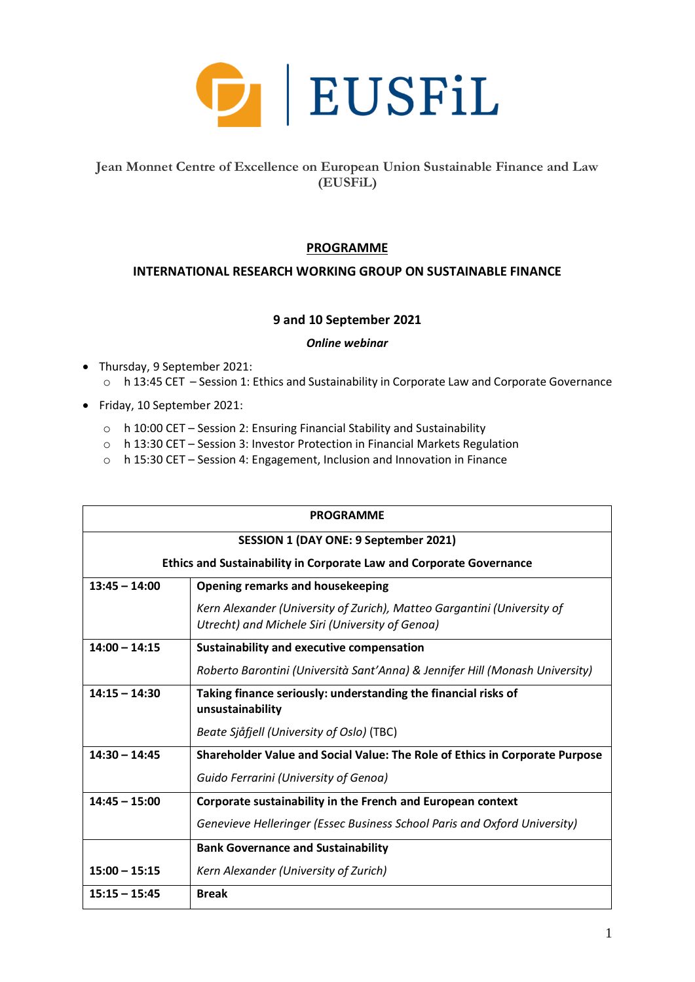

# **Jean Monnet Centre of Excellence on European Union Sustainable Finance and Law (EUSFiL)**

## **PROGRAMME**

## **INTERNATIONAL RESEARCH WORKING GROUP ON SUSTAINABLE FINANCE**

## **9 and 10 September 2021**

#### *Online webinar*

- Thursday, 9 September 2021: o h 13:45 CET – Session 1: Ethics and Sustainability in Corporate Law and Corporate Governance
- Friday, 10 September 2021:
	- o h 10:00 CET Session 2: Ensuring Financial Stability and Sustainability
	- o h 13:30 CET Session 3: Investor Protection in Financial Markets Regulation
	- o h 15:30 CET Session 4: Engagement, Inclusion and Innovation in Finance

| <b>PROGRAMME</b>                                                           |                                                                                                                            |  |
|----------------------------------------------------------------------------|----------------------------------------------------------------------------------------------------------------------------|--|
| SESSION 1 (DAY ONE: 9 September 2021)                                      |                                                                                                                            |  |
| <b>Ethics and Sustainability in Corporate Law and Corporate Governance</b> |                                                                                                                            |  |
| $13:45 - 14:00$                                                            | <b>Opening remarks and housekeeping</b>                                                                                    |  |
|                                                                            | Kern Alexander (University of Zurich), Matteo Gargantini (University of<br>Utrecht) and Michele Siri (University of Genoa) |  |
| $14:00 - 14:15$                                                            | Sustainability and executive compensation                                                                                  |  |
|                                                                            | Roberto Barontini (Università Sant'Anna) & Jennifer Hill (Monash University)                                               |  |
| $14:15 - 14:30$                                                            | Taking finance seriously: understanding the financial risks of<br>unsustainability                                         |  |
|                                                                            | Beate Sjåfjell (University of Oslo) (TBC)                                                                                  |  |
| $14:30 - 14:45$                                                            | Shareholder Value and Social Value: The Role of Ethics in Corporate Purpose                                                |  |
|                                                                            | Guido Ferrarini (University of Genoa)                                                                                      |  |
| $14:45 - 15:00$                                                            | Corporate sustainability in the French and European context                                                                |  |
|                                                                            | Genevieve Helleringer (Essec Business School Paris and Oxford University)                                                  |  |
|                                                                            | <b>Bank Governance and Sustainability</b>                                                                                  |  |
| $15:00 - 15:15$                                                            | Kern Alexander (University of Zurich)                                                                                      |  |
| $15:15 - 15:45$                                                            | <b>Break</b>                                                                                                               |  |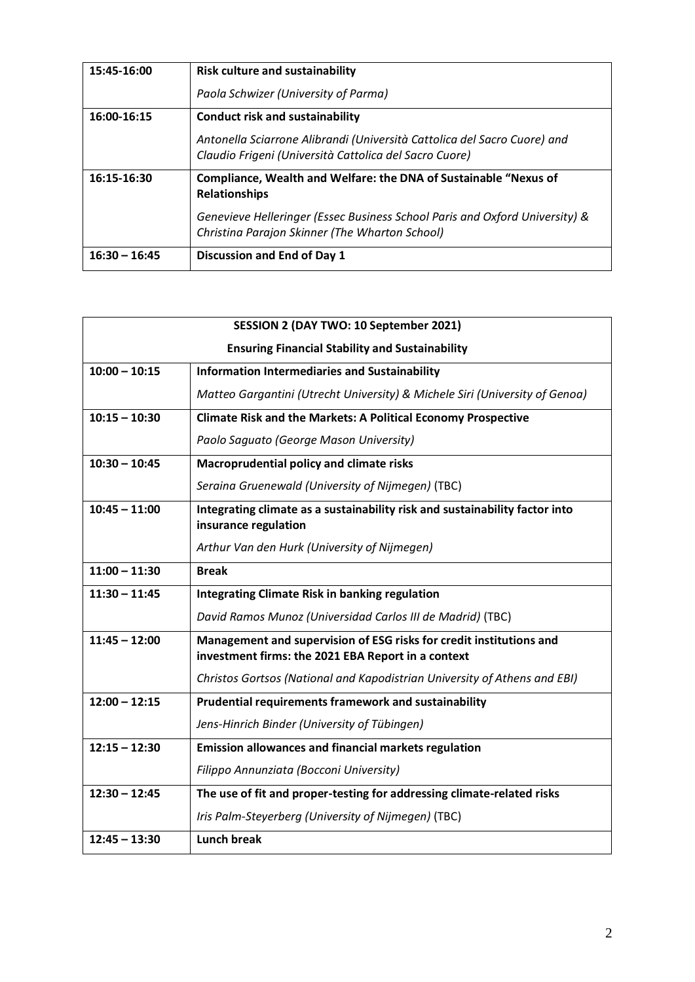| 15:45-16:00     | <b>Risk culture and sustainability</b>                                                          |
|-----------------|-------------------------------------------------------------------------------------------------|
|                 | Paola Schwizer (University of Parma)                                                            |
| 16:00-16:15     | <b>Conduct risk and sustainability</b>                                                          |
|                 | Antonella Sciarrone Alibrandi (Università Cattolica del Sacro Cuore) and                        |
|                 | Claudio Frigeni (Università Cattolica del Sacro Cuore)                                          |
| 16:15-16:30     | <b>Compliance, Wealth and Welfare: the DNA of Sustainable "Nexus of</b><br><b>Relationships</b> |
|                 | Genevieve Helleringer (Essec Business School Paris and Oxford University) &                     |
|                 | Christina Parajon Skinner (The Wharton School)                                                  |
| $16:30 - 16:45$ | <b>Discussion and End of Day 1</b>                                                              |

| SESSION 2 (DAY TWO: 10 September 2021)                 |                                                                                                                           |  |
|--------------------------------------------------------|---------------------------------------------------------------------------------------------------------------------------|--|
| <b>Ensuring Financial Stability and Sustainability</b> |                                                                                                                           |  |
| $10:00 - 10:15$                                        | <b>Information Intermediaries and Sustainability</b>                                                                      |  |
|                                                        | Matteo Gargantini (Utrecht University) & Michele Siri (University of Genoa)                                               |  |
| $10:15 - 10:30$                                        | <b>Climate Risk and the Markets: A Political Economy Prospective</b>                                                      |  |
|                                                        | Paolo Saguato (George Mason University)                                                                                   |  |
| $10:30 - 10:45$                                        | Macroprudential policy and climate risks                                                                                  |  |
|                                                        | Seraina Gruenewald (University of Nijmegen) (TBC)                                                                         |  |
| $10:45 - 11:00$                                        | Integrating climate as a sustainability risk and sustainability factor into                                               |  |
|                                                        | insurance regulation                                                                                                      |  |
|                                                        | Arthur Van den Hurk (University of Nijmegen)                                                                              |  |
| $11:00 - 11:30$                                        | <b>Break</b>                                                                                                              |  |
| $11:30 - 11:45$                                        | <b>Integrating Climate Risk in banking regulation</b>                                                                     |  |
|                                                        | David Ramos Munoz (Universidad Carlos III de Madrid) (TBC)                                                                |  |
| $11:45 - 12:00$                                        | Management and supervision of ESG risks for credit institutions and<br>investment firms: the 2021 EBA Report in a context |  |
|                                                        | Christos Gortsos (National and Kapodistrian University of Athens and EBI)                                                 |  |
| $12:00 - 12:15$                                        | Prudential requirements framework and sustainability                                                                      |  |
|                                                        | Jens-Hinrich Binder (University of Tübingen)                                                                              |  |
| $12:15 - 12:30$                                        | <b>Emission allowances and financial markets regulation</b>                                                               |  |
|                                                        | Filippo Annunziata (Bocconi University)                                                                                   |  |
| $12:30 - 12:45$                                        | The use of fit and proper-testing for addressing climate-related risks                                                    |  |
|                                                        | Iris Palm-Steyerberg (University of Nijmegen) (TBC)                                                                       |  |
| $12:45 - 13:30$                                        | <b>Lunch break</b>                                                                                                        |  |